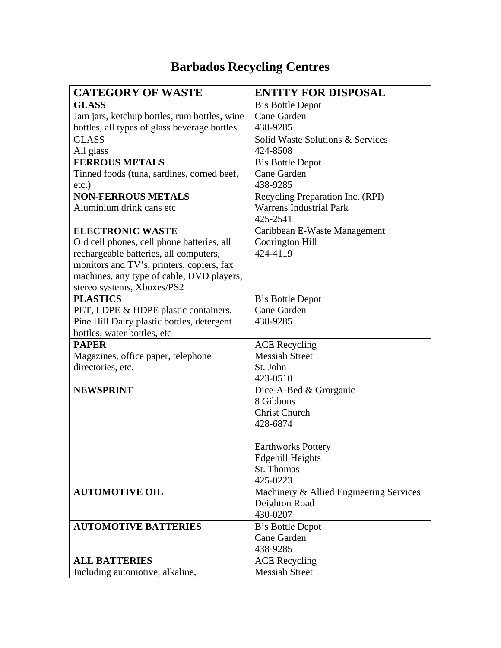## **Barbados Recycling Centres**

| <b>CATEGORY OF WASTE</b>                                                                                        | <b>ENTITY FOR DISPOSAL</b>                                                                                                                                                                                                                                         |
|-----------------------------------------------------------------------------------------------------------------|--------------------------------------------------------------------------------------------------------------------------------------------------------------------------------------------------------------------------------------------------------------------|
| <b>GLASS</b>                                                                                                    | B's Bottle Depot                                                                                                                                                                                                                                                   |
| Jam jars, ketchup bottles, rum bottles, wine                                                                    | Cane Garden                                                                                                                                                                                                                                                        |
| bottles, all types of glass beverage bottles                                                                    | 438-9285                                                                                                                                                                                                                                                           |
| <b>GLASS</b>                                                                                                    | Solid Waste Solutions & Services                                                                                                                                                                                                                                   |
| All glass                                                                                                       | 424-8508                                                                                                                                                                                                                                                           |
| <b>FERROUS METALS</b>                                                                                           | B's Bottle Depot                                                                                                                                                                                                                                                   |
| Tinned foods (tuna, sardines, corned beef,                                                                      | Cane Garden                                                                                                                                                                                                                                                        |
| $etc.$ )                                                                                                        | 438-9285                                                                                                                                                                                                                                                           |
| <b>NON-FERROUS METALS</b>                                                                                       | Recycling Preparation Inc. (RPI)                                                                                                                                                                                                                                   |
| Aluminium drink cans etc                                                                                        | <b>Warrens Industrial Park</b>                                                                                                                                                                                                                                     |
|                                                                                                                 | 425-2541                                                                                                                                                                                                                                                           |
| <b>ELECTRONIC WASTE</b>                                                                                         | Caribbean E-Waste Management                                                                                                                                                                                                                                       |
| Old cell phones, cell phone batteries, all                                                                      | <b>Codrington Hill</b>                                                                                                                                                                                                                                             |
| rechargeable batteries, all computers,                                                                          | 424-4119                                                                                                                                                                                                                                                           |
| monitors and TV's, printers, copiers, fax                                                                       |                                                                                                                                                                                                                                                                    |
| machines, any type of cable, DVD players,                                                                       |                                                                                                                                                                                                                                                                    |
| stereo systems, Xboxes/PS2                                                                                      |                                                                                                                                                                                                                                                                    |
| <b>PLASTICS</b>                                                                                                 | B's Bottle Depot                                                                                                                                                                                                                                                   |
| PET, LDPE & HDPE plastic containers,                                                                            | Cane Garden                                                                                                                                                                                                                                                        |
| Pine Hill Dairy plastic bottles, detergent                                                                      | 438-9285                                                                                                                                                                                                                                                           |
| bottles, water bottles, etc                                                                                     |                                                                                                                                                                                                                                                                    |
| <b>PAPER</b>                                                                                                    | <b>ACE</b> Recycling                                                                                                                                                                                                                                               |
| Magazines, office paper, telephone                                                                              | <b>Messiah Street</b>                                                                                                                                                                                                                                              |
| directories, etc.                                                                                               | St. John                                                                                                                                                                                                                                                           |
|                                                                                                                 | 423-0510                                                                                                                                                                                                                                                           |
| <b>NEWSPRINT</b>                                                                                                | Dice-A-Bed & Grorganic                                                                                                                                                                                                                                             |
|                                                                                                                 | 8 Gibbons                                                                                                                                                                                                                                                          |
|                                                                                                                 | <b>Christ Church</b>                                                                                                                                                                                                                                               |
|                                                                                                                 |                                                                                                                                                                                                                                                                    |
|                                                                                                                 |                                                                                                                                                                                                                                                                    |
|                                                                                                                 |                                                                                                                                                                                                                                                                    |
|                                                                                                                 |                                                                                                                                                                                                                                                                    |
|                                                                                                                 |                                                                                                                                                                                                                                                                    |
|                                                                                                                 |                                                                                                                                                                                                                                                                    |
|                                                                                                                 |                                                                                                                                                                                                                                                                    |
|                                                                                                                 |                                                                                                                                                                                                                                                                    |
|                                                                                                                 |                                                                                                                                                                                                                                                                    |
|                                                                                                                 |                                                                                                                                                                                                                                                                    |
|                                                                                                                 |                                                                                                                                                                                                                                                                    |
|                                                                                                                 |                                                                                                                                                                                                                                                                    |
|                                                                                                                 |                                                                                                                                                                                                                                                                    |
| <b>AUTOMOTIVE OIL</b><br><b>AUTOMOTIVE BATTERIES</b><br><b>ALL BATTERIES</b><br>Including automotive, alkaline, | 428-6874<br><b>Earthworks Pottery</b><br><b>Edgehill Heights</b><br>St. Thomas<br>425-0223<br>Machinery & Allied Engineering Services<br>Deighton Road<br>430-0207<br>B's Bottle Depot<br>Cane Garden<br>438-9285<br><b>ACE</b> Recycling<br><b>Messiah Street</b> |